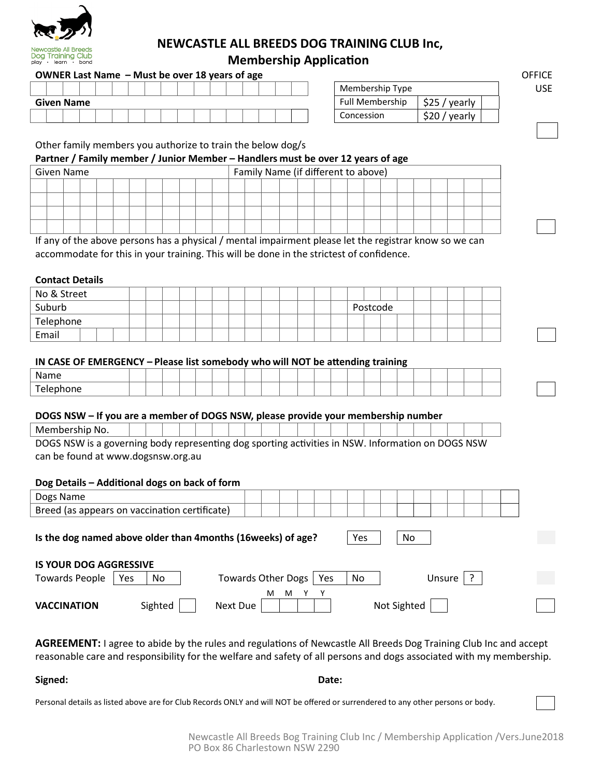

## **NEWCASTLE ALL BREEDS DOG TRAINING CLUB Inc, Membership Application**

### **OWNER Last Name – Must be over 18 years of age of age of a set of a set of a set of a set of a set of a set of a set of a set of a set of a set of a set of a set of a set of a set of a set of a set of a set of a set of a**

|                   |  |  |  |  |  |  |  |  | Membership Type        |                       |
|-------------------|--|--|--|--|--|--|--|--|------------------------|-----------------------|
| <b>Given Name</b> |  |  |  |  |  |  |  |  | <b>Full Membership</b> | ぐつに<br>vearly<br>--   |
|                   |  |  |  |  |  |  |  |  | Concession             | con.<br>vearly<br>ںےر |

| Membership Type        |                |  |
|------------------------|----------------|--|
| <b>Full Membership</b> | $$25$ / yearly |  |
| Concession             | \$20 / yearly  |  |

#### Other family members you authorize to train the below dog/s

#### **Partner / Family member / Junior Member – Handlers must be over 12 years of age**

| Given Name |  |  |  |  |  |  | Family Name (if different to above) |  |  |  |  |  |  |
|------------|--|--|--|--|--|--|-------------------------------------|--|--|--|--|--|--|
|            |  |  |  |  |  |  |                                     |  |  |  |  |  |  |
|            |  |  |  |  |  |  |                                     |  |  |  |  |  |  |
|            |  |  |  |  |  |  |                                     |  |  |  |  |  |  |
|            |  |  |  |  |  |  |                                     |  |  |  |  |  |  |

If any of the above persons has a physical / mental impairment please let the registrar know so we can accommodate for this in your training. This will be done in the strictest of confidence.

#### **Contact Details**

| No & Street |  |  |  |  |  |  |  |  |          |  |  |  |  |
|-------------|--|--|--|--|--|--|--|--|----------|--|--|--|--|
| Suburb      |  |  |  |  |  |  |  |  | Postcode |  |  |  |  |
| Telephone   |  |  |  |  |  |  |  |  |          |  |  |  |  |
| Email       |  |  |  |  |  |  |  |  |          |  |  |  |  |

#### **IN CASE OF EMERGENCY – Please list somebody who will NOT be a�ending training**

| $\overline{\phantom{0}}$ |  |  |  |  |  |  |  |  |  |  |  |
|--------------------------|--|--|--|--|--|--|--|--|--|--|--|

#### **DOGS NSW – If you are a member of DOGS NSW, please provide your membership number**

| Membership No.                                                                                    |  |  |  |  |  |  |  |  |  |  |  |
|---------------------------------------------------------------------------------------------------|--|--|--|--|--|--|--|--|--|--|--|
| DOGS NSW is a governing body representing dog sporting activities in NSW. Information on DOGS NSW |  |  |  |  |  |  |  |  |  |  |  |

can be found at www.dogsnsw.org.au

#### **Dog Details – Addi�onal dogs on back of form**

| Dogs Name                                                     |         |                           |        |     |     |  |             |        |  |  |  |
|---------------------------------------------------------------|---------|---------------------------|--------|-----|-----|--|-------------|--------|--|--|--|
| Breed (as appears on vaccination certificate)                 |         |                           |        |     |     |  |             |        |  |  |  |
| Is the dog named above older than 4 months (16 weeks) of age? |         |                           |        |     | Yes |  | No          |        |  |  |  |
|                                                               |         |                           |        |     |     |  |             |        |  |  |  |
| <b>IS YOUR DOG AGGRESSIVE</b>                                 |         |                           |        |     |     |  |             |        |  |  |  |
| <b>Towards People</b><br>Yes                                  | No      | <b>Towards Other Dogs</b> |        | Yes | No  |  |             | Unsure |  |  |  |
|                                                               |         |                           | м<br>м |     |     |  |             |        |  |  |  |
| <b>VACCINATION</b>                                            | Sighted | Next Due                  |        |     |     |  | Not Sighted |        |  |  |  |

AGREEMENT: I agree to abide by the rules and regulations of Newcastle All Breeds Dog Training Club Inc and accept reasonable care and responsibility for the welfare and safety of all persons and dogs associated with my membership.

**Signed: Date:**

Personal details as listed above are for Club Records ONLY and will NOT be offered or surrendered to any other persons or body.